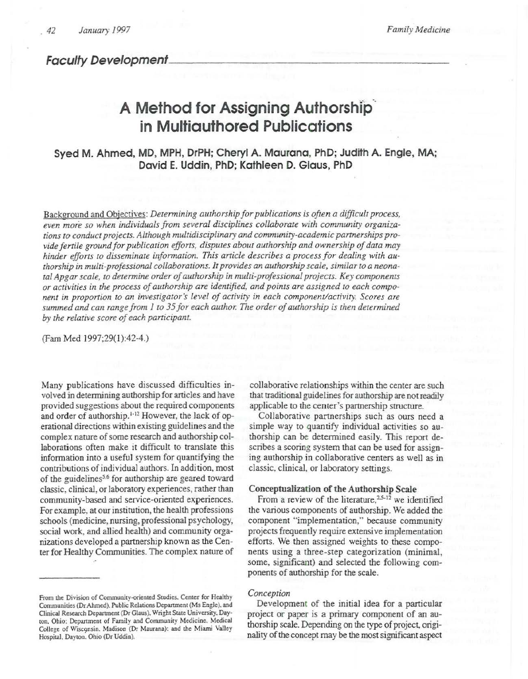**Faculty Development** 

# **A Method for Assigning Authorshlp·. in Multiauthored Publications**

Syed M. Ahmed, MD, MPH, DrPH; Cheryl A. Maurana, PhD; Judith A. Engle, MA; David E. Uddin, PhD; Kathleen D. Glaus, PhD

Background and Objectives: *Determining authorship for publications is often a difficult process, even more so when individuals from several disciplines collaborate with community organizations ro conduct projects. Although multidisciplinary and community-academic partnerships provide fertile ground for publication efforts, disputes about authorship and ownership of data may hinder efforts to disseminate information. This article describes a process for dealing with authorship* in *multi-professional collaborations. It provides an authorship scale, similar to a neonatal Apgar scale, to determine order of authorship in multi-professional projects. Key components or activities in the process of authorship are identified, and points are assigned to each component in proportion to an investigator's level of activity in each component/activity. Scores are summed and can range from 1 co 35 for each author. The order of authorship is then determined by the relative score of each participant.* 

(Fam Med 1997;29(1):42-4.)

Many publications have discussed difficulties involved in determining authorship for articles and have provided suggestions about the required components and order of authorship.<sup>1-12</sup> However, the lack of operational directions within existing guidelines and the complex nature of some research and authorship collaborations often make it difficult to translate this information into a useful system for quantifying the contributions of individual authors. In addition, most of the guidelines<sup>5,6</sup> for authorship are geared toward classic, clinical, or laboratory experiences, rather than community-based and service-oriented experiences. For example, at our institution, the health professions schools (medicine, nursing, professional psychology, social work, and allied health) and community organizations developed a partnership known as the Center for Healthy Communities. The complex nature of

collaborative relationships within the center are such that traditional guidelines for authorship are not readily applicable to the center's partnership structure.

Collaborative partnerships such as ours need a simple way to quantify individual activities so authorship can be determined easily. This report describes a scoring system that can be used for assigning authorship in collaborative centers as well as in classic, clinical, or laboratory settings.

## Conceptualization of the Authorship Scale

From a review of the literature,<sup>2,5-12</sup> we identified the various components of authorship. We added the component "implementation," because community projects frequently require extensive implementation efforts. We then assigned weights to these components using a three-step categorization (minimal, some, significant) and selected the following components of authorship for the scale.

#### *Conception*

Development of the initial idea for a particular project or paper is a primary component of an authorship scale. Depending on the type of project, originality of the concept may be the most significant aspect

From the Division of Community-oriented Studies. Center for Healthy Communities (Dr Ahmed). Public Relations Department (Ms Engle). and Clinical Research Depanmem (Dr Glaus). Wright State University. Dayton. Ohio: Department of Family and Community Medicine. Medical College of Wisconsin. Madison (Dr Maurana): and the Miami Valley Hospital. Dayton. Ohio (Dr Uddin).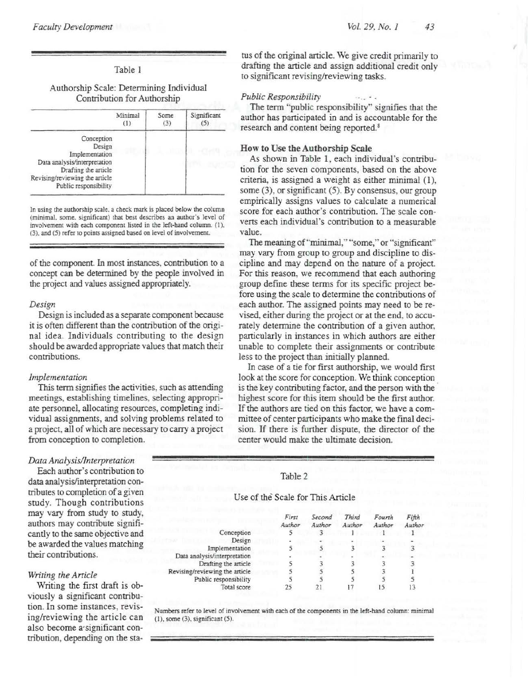## Table 1

## Authorship Scale: Determining Individual Contribution for Authorship

|                                                                                                                                                           | Minimal<br>$\left(1\right)$ | Some<br>(3) | Significant |
|-----------------------------------------------------------------------------------------------------------------------------------------------------------|-----------------------------|-------------|-------------|
| Conception<br>Design<br>Implementation<br>Data analysis/interpretation<br>Drafting the article<br>Revising/reviewing the article<br>Public responsibility |                             |             |             |

In using the authorship scale. a check mark is placed below the column (minimal. some. significant) that best describes an author's level of involvement with each component listed in the left-hand column. {I). (3). and (5) refer to points assigned based on level of involvement.

of the component. In most instances, contribution to a concept can be determined by the people involved in the project and values assigned appropriately.

#### *Design*

Design is included as a separate component because it is often different than the contribution of the original idea. Individuals contributing to the design should be awarded appropriate values that match their contributions.

### *Implementation*

This term signifies the activities, such as attending meetings, establishing timelines, selecting appropriate personnel, allocating resources, completing individual assignments, and solving problems related to a project, all of which are necessary to carry a project from conception to completion.

## *Data Analysis/Interpretation*

Each author's contribution to data analysis/interpretation contributes to completion of a given study. Though contributions may vary from study to study, authors may contribute significantly to the same objective and be awarded the values matching their contributions.

### *Writing the Article*

Writing the first draft is obviously a significant contribution. In some instances, revising/reviewing the article can also become a·significant contribution, depending on the sta-

tus of the original article. We give credit primarily to drafting the article and assign additional credit only to significant revising/reviewing tasks.

## *Public Responsibility*

The term "public responsibility" signifies that the author has participated in and is accountable for the research and content being reported.<sup>8</sup>

## How to Use the Authorship Scale

As shown in Table 1, each individual's contribution for the seven components, based on the above criteria, is assigned a weight as either minimal (1), some (3), or significant (5). By consensus, our group empirically assigns values to calculate a numerical score for each author's contribution. The scale converts each individual's contribution to a measurable value.

The meaning of''minimal," "some," or "significant" may vary from group to group and discipline to discipline and may depend on the narure of a project. For this reason, we recommend that each authoring group define these terms for its specific project before using the scale to determine the contributions of each author. The assigned points may need to be revised, either during the project or at the end. to accurately determine the contribution of a given author, particularly in instances in which authors are either unable to complete their assignments or contribute less to the project than initially planned.

In case of a tie for first authorship, we would first look at the score for conception. We think conception is the key contributing factor, and the person with the highest score for this item should be the first author. If the authors are tied on this factor, we have a committee of center participants who make the final decision. If there is further dispute, the director of the center would make the ultimate decision.

## Table 2

Use of the Scale for This Article

|                                | First<br>Author | Second<br>Author | Third<br>Author | Fourth<br>Author | Fifth<br>Author |
|--------------------------------|-----------------|------------------|-----------------|------------------|-----------------|
| Conception                     |                 |                  |                 |                  |                 |
| Design                         | ٠               |                  |                 |                  |                 |
| Implementation                 |                 |                  |                 |                  |                 |
| Data analysis/interpretation   |                 |                  |                 |                  |                 |
| Drafting the article           |                 |                  |                 |                  |                 |
| Revising/reviewing the article |                 |                  |                 |                  |                 |
| Public responsibility          |                 |                  |                 |                  |                 |
| Total score                    |                 |                  |                 |                  |                 |

Numbers refer to level of involvement with each of the components in the left-hand column: minimal (1). some (3), significant (5).